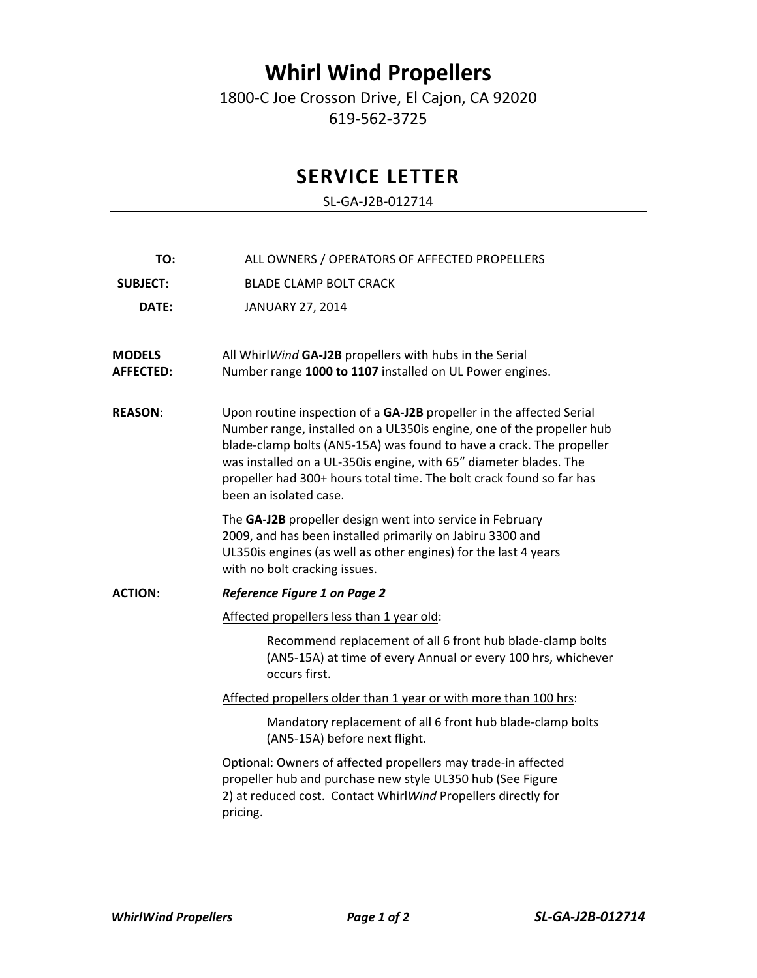## **Whirl Wind Propellers**

1800‐C Joe Crosson Drive, El Cajon, CA 92020 619‐562‐3725

## **SERVICE LETTER**

SL‐GA‐J2B‐012714

| TO:                               | ALL OWNERS / OPERATORS OF AFFECTED PROPELLERS                                                                                                                                                                                                                                                                                                                                                |
|-----------------------------------|----------------------------------------------------------------------------------------------------------------------------------------------------------------------------------------------------------------------------------------------------------------------------------------------------------------------------------------------------------------------------------------------|
| <b>SUBJECT:</b>                   | <b>BLADE CLAMP BOLT CRACK</b>                                                                                                                                                                                                                                                                                                                                                                |
| DATE:                             | JANUARY 27, 2014                                                                                                                                                                                                                                                                                                                                                                             |
|                                   |                                                                                                                                                                                                                                                                                                                                                                                              |
| <b>MODELS</b><br><b>AFFECTED:</b> | All WhirlWind GA-J2B propellers with hubs in the Serial<br>Number range 1000 to 1107 installed on UL Power engines.                                                                                                                                                                                                                                                                          |
| <b>REASON:</b>                    | Upon routine inspection of a GA-J2B propeller in the affected Serial<br>Number range, installed on a UL350is engine, one of the propeller hub<br>blade-clamp bolts (AN5-15A) was found to have a crack. The propeller<br>was installed on a UL-350is engine, with 65" diameter blades. The<br>propeller had 300+ hours total time. The bolt crack found so far has<br>been an isolated case. |
|                                   | The GA-J2B propeller design went into service in February<br>2009, and has been installed primarily on Jabiru 3300 and<br>UL350is engines (as well as other engines) for the last 4 years<br>with no bolt cracking issues.                                                                                                                                                                   |
| <b>ACTION:</b>                    | <b>Reference Figure 1 on Page 2</b>                                                                                                                                                                                                                                                                                                                                                          |
|                                   | Affected propellers less than 1 year old:                                                                                                                                                                                                                                                                                                                                                    |
|                                   | Recommend replacement of all 6 front hub blade-clamp bolts<br>(AN5-15A) at time of every Annual or every 100 hrs, whichever<br>occurs first.                                                                                                                                                                                                                                                 |
|                                   | Affected propellers older than 1 year or with more than 100 hrs:                                                                                                                                                                                                                                                                                                                             |
|                                   | Mandatory replacement of all 6 front hub blade-clamp bolts<br>(AN5-15A) before next flight.                                                                                                                                                                                                                                                                                                  |
|                                   | Optional: Owners of affected propellers may trade-in affected<br>propeller hub and purchase new style UL350 hub (See Figure<br>2) at reduced cost. Contact WhirlWind Propellers directly for<br>pricing.                                                                                                                                                                                     |